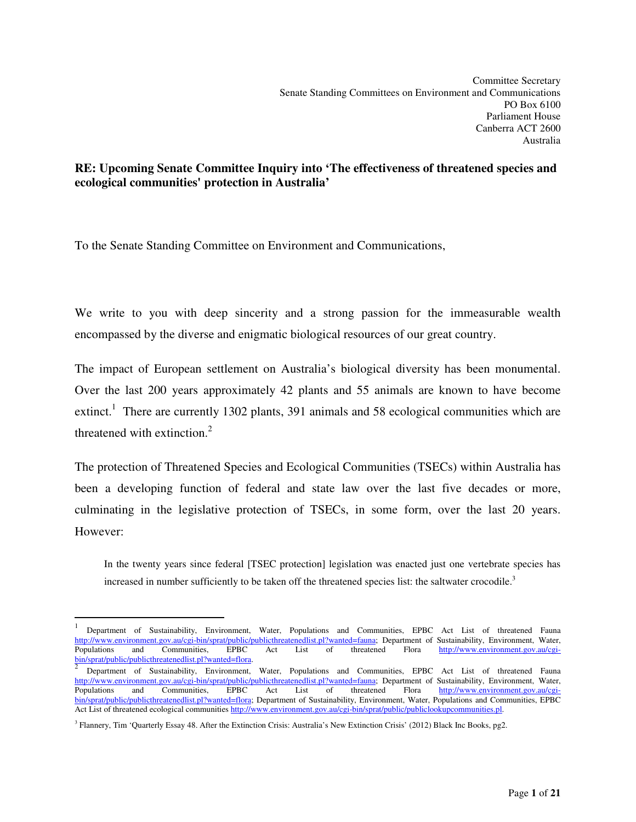# **RE: Upcoming Senate Committee Inquiry into 'The effectiveness of threatened species and ecological communities' protection in Australia'**

To the Senate Standing Committee on Environment and Communications,

We write to you with deep sincerity and a strong passion for the immeasurable wealth encompassed by the diverse and enigmatic biological resources of our great country.

The impact of European settlement on Australia's biological diversity has been monumental. Over the last 200 years approximately 42 plants and 55 animals are known to have become extinct.<sup>1</sup> There are currently 1302 plants, 391 animals and 58 ecological communities which are threatened with extinction. $<sup>2</sup>$ </sup>

The protection of Threatened Species and Ecological Communities (TSECs) within Australia has been a developing function of federal and state law over the last five decades or more, culminating in the legislative protection of TSECs, in some form, over the last 20 years. However:

In the twenty years since federal [TSEC protection] legislation was enacted just one vertebrate species has increased in number sufficiently to be taken off the threatened species list: the saltwater crocodile.<sup>3</sup>

 $\overline{a}$ 

<sup>1</sup> Department of Sustainability, Environment, Water, Populations and Communities, EPBC Act List of threatened Fauna http://www.environment.gov.au/cgi-bin/sprat/public/publicthreatenedlist.pl?wanted=fauna; Department of Sustainability, Environment, Water,<br>Populations and Communities, EPBC Act List of threatened Flora http://www.environme Populations and Communities, bin/sprat/public/publicthreatenedlist.pl?wanted=flora.

Department of Sustainability, Environment, Water, Populations and Communities, EPBC Act List of threatened Fauna http://www.environment.gov.au/cgi-bin/sprat/public/publicthreatenedlist.pl?wanted=fauna; Department of Sustainability, Environment, Water,<br>Populations and Communities, EPBC Act List of threatened Flora http://www.environme http://www.environment.gov.au/cgibin/sprat/public/publicthreatenedlist.pl?wanted=flora; Department of Sustainability, Environment, Water, Populations and Communities, EPBC Act List of threatened ecological communities http://www.environment.gov.au/cgi-bin/sprat/public/publiclookupcommunities.pl.

<sup>&</sup>lt;sup>3</sup> Flannery, Tim 'Quarterly Essay 48. After the Extinction Crisis: Australia's New Extinction Crisis' (2012) Black Inc Books, pg2.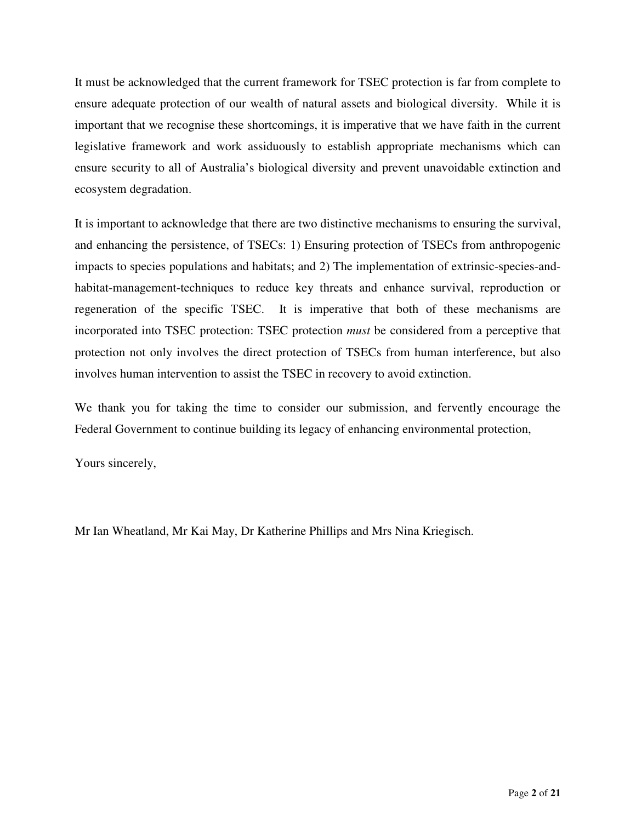It must be acknowledged that the current framework for TSEC protection is far from complete to ensure adequate protection of our wealth of natural assets and biological diversity. While it is important that we recognise these shortcomings, it is imperative that we have faith in the current legislative framework and work assiduously to establish appropriate mechanisms which can ensure security to all of Australia's biological diversity and prevent unavoidable extinction and ecosystem degradation.

It is important to acknowledge that there are two distinctive mechanisms to ensuring the survival, and enhancing the persistence, of TSECs: 1) Ensuring protection of TSECs from anthropogenic impacts to species populations and habitats; and 2) The implementation of extrinsic-species-andhabitat-management-techniques to reduce key threats and enhance survival, reproduction or regeneration of the specific TSEC. It is imperative that both of these mechanisms are incorporated into TSEC protection: TSEC protection *must* be considered from a perceptive that protection not only involves the direct protection of TSECs from human interference, but also involves human intervention to assist the TSEC in recovery to avoid extinction.

We thank you for taking the time to consider our submission, and fervently encourage the Federal Government to continue building its legacy of enhancing environmental protection,

Yours sincerely,

Mr Ian Wheatland, Mr Kai May, Dr Katherine Phillips and Mrs Nina Kriegisch.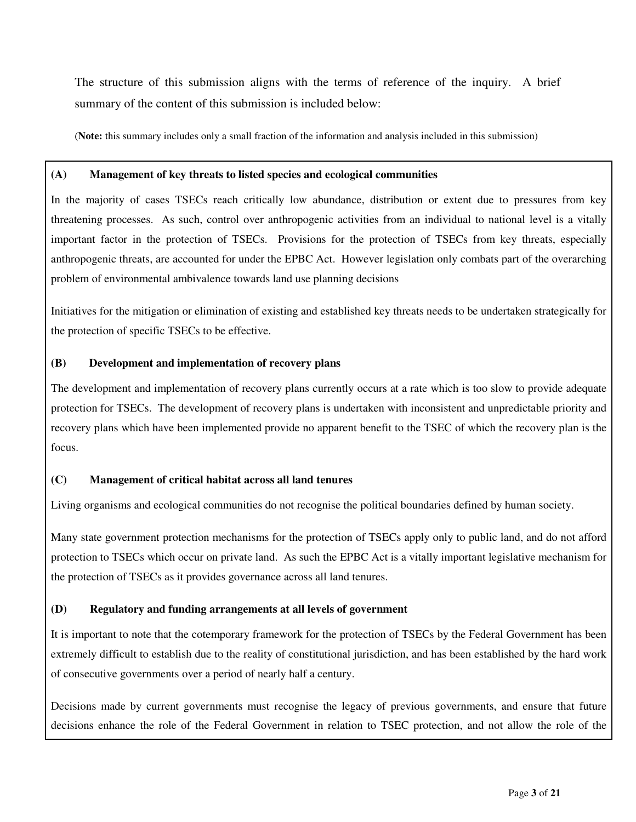The structure of this submission aligns with the terms of reference of the inquiry. A brief summary of the content of this submission is included below:

(**Note:** this summary includes only a small fraction of the information and analysis included in this submission)

#### **(A) Management of key threats to listed species and ecological communities**

In the majority of cases TSECs reach critically low abundance, distribution or extent due to pressures from key threatening processes. As such, control over anthropogenic activities from an individual to national level is a vitally important factor in the protection of TSECs. Provisions for the protection of TSECs from key threats, especially anthropogenic threats, are accounted for under the EPBC Act. However legislation only combats part of the overarching problem of environmental ambivalence towards land use planning decisions

Initiatives for the mitigation or elimination of existing and established key threats needs to be undertaken strategically for the protection of specific TSECs to be effective.

#### **(B) Development and implementation of recovery plans**

The development and implementation of recovery plans currently occurs at a rate which is too slow to provide adequate protection for TSECs. The development of recovery plans is undertaken with inconsistent and unpredictable priority and recovery plans which have been implemented provide no apparent benefit to the TSEC of which the recovery plan is the focus.

# **(C) Management of critical habitat across all land tenures**

Living organisms and ecological communities do not recognise the political boundaries defined by human society.

Many state government protection mechanisms for the protection of TSECs apply only to public land, and do not afford protection to TSECs which occur on private land. As such the EPBC Act is a vitally important legislative mechanism for the protection of TSECs as it provides governance across all land tenures.

# **(D) Regulatory and funding arrangements at all levels of government**

It is important to note that the cotemporary framework for the protection of TSECs by the Federal Government has been extremely difficult to establish due to the reality of constitutional jurisdiction, and has been established by the hard work of consecutive governments over a period of nearly half a century.

Decisions made by current governments must recognise the legacy of previous governments, and ensure that future decisions enhance the role of the Federal Government in relation to TSEC protection, and not allow the role of the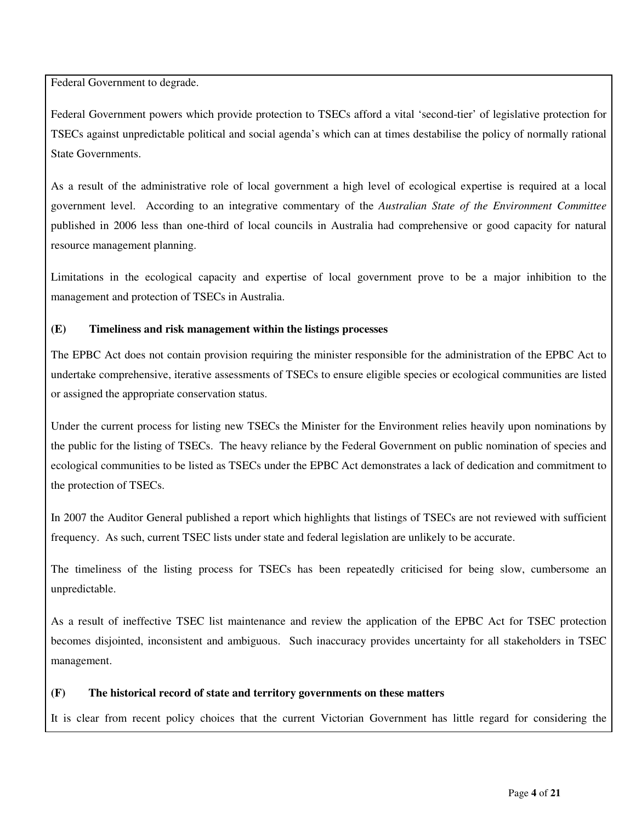Federal Government to degrade.

Federal Government powers which provide protection to TSECs afford a vital 'second-tier' of legislative protection for TSECs against unpredictable political and social agenda's which can at times destabilise the policy of normally rational State Governments.

As a result of the administrative role of local government a high level of ecological expertise is required at a local government level. According to an integrative commentary of the *Australian State of the Environment Committee* published in 2006 less than one-third of local councils in Australia had comprehensive or good capacity for natural resource management planning.

Limitations in the ecological capacity and expertise of local government prove to be a major inhibition to the management and protection of TSECs in Australia.

# **(E) Timeliness and risk management within the listings processes**

The EPBC Act does not contain provision requiring the minister responsible for the administration of the EPBC Act to undertake comprehensive, iterative assessments of TSECs to ensure eligible species or ecological communities are listed or assigned the appropriate conservation status.

Under the current process for listing new TSECs the Minister for the Environment relies heavily upon nominations by the public for the listing of TSECs. The heavy reliance by the Federal Government on public nomination of species and ecological communities to be listed as TSECs under the EPBC Act demonstrates a lack of dedication and commitment to the protection of TSECs.

In 2007 the Auditor General published a report which highlights that listings of TSECs are not reviewed with sufficient frequency. As such, current TSEC lists under state and federal legislation are unlikely to be accurate.

The timeliness of the listing process for TSECs has been repeatedly criticised for being slow, cumbersome an unpredictable.

As a result of ineffective TSEC list maintenance and review the application of the EPBC Act for TSEC protection becomes disjointed, inconsistent and ambiguous. Such inaccuracy provides uncertainty for all stakeholders in TSEC management.

#### **(F) The historical record of state and territory governments on these matters**

It is clear from recent policy choices that the current Victorian Government has little regard for considering the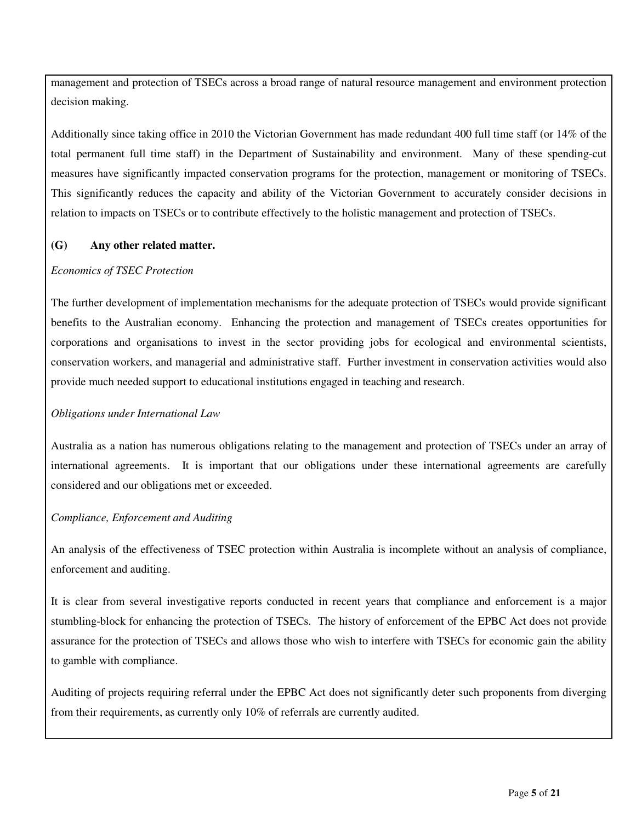management and protection of TSECs across a broad range of natural resource management and environment protection decision making.

Additionally since taking office in 2010 the Victorian Government has made redundant 400 full time staff (or 14% of the total permanent full time staff) in the Department of Sustainability and environment. Many of these spending-cut measures have significantly impacted conservation programs for the protection, management or monitoring of TSECs. This significantly reduces the capacity and ability of the Victorian Government to accurately consider decisions in relation to impacts on TSECs or to contribute effectively to the holistic management and protection of TSECs.

#### **(G) Any other related matter.**

#### *Economics of TSEC Protection*

The further development of implementation mechanisms for the adequate protection of TSECs would provide significant benefits to the Australian economy. Enhancing the protection and management of TSECs creates opportunities for corporations and organisations to invest in the sector providing jobs for ecological and environmental scientists, conservation workers, and managerial and administrative staff. Further investment in conservation activities would also provide much needed support to educational institutions engaged in teaching and research.

#### *Obligations under International Law*

Australia as a nation has numerous obligations relating to the management and protection of TSECs under an array of international agreements. It is important that our obligations under these international agreements are carefully considered and our obligations met or exceeded.

#### *Compliance, Enforcement and Auditing*

An analysis of the effectiveness of TSEC protection within Australia is incomplete without an analysis of compliance, enforcement and auditing.

It is clear from several investigative reports conducted in recent years that compliance and enforcement is a major stumbling-block for enhancing the protection of TSECs. The history of enforcement of the EPBC Act does not provide assurance for the protection of TSECs and allows those who wish to interfere with TSECs for economic gain the ability to gamble with compliance.

Auditing of projects requiring referral under the EPBC Act does not significantly deter such proponents from diverging from their requirements, as currently only 10% of referrals are currently audited.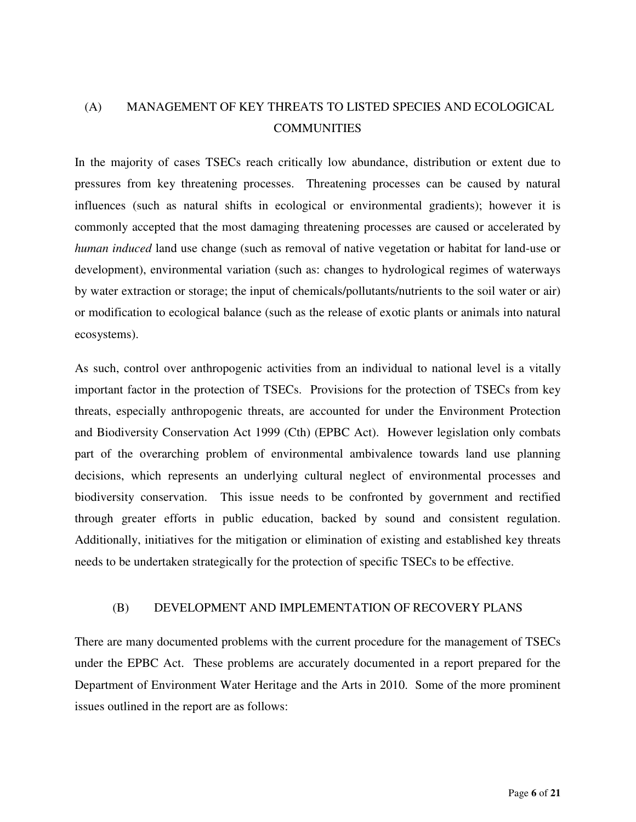# (A) MANAGEMENT OF KEY THREATS TO LISTED SPECIES AND ECOLOGICAL **COMMUNITIES**

In the majority of cases TSECs reach critically low abundance, distribution or extent due to pressures from key threatening processes. Threatening processes can be caused by natural influences (such as natural shifts in ecological or environmental gradients); however it is commonly accepted that the most damaging threatening processes are caused or accelerated by *human induced* land use change (such as removal of native vegetation or habitat for land-use or development), environmental variation (such as: changes to hydrological regimes of waterways by water extraction or storage; the input of chemicals/pollutants/nutrients to the soil water or air) or modification to ecological balance (such as the release of exotic plants or animals into natural ecosystems).

As such, control over anthropogenic activities from an individual to national level is a vitally important factor in the protection of TSECs. Provisions for the protection of TSECs from key threats, especially anthropogenic threats, are accounted for under the Environment Protection and Biodiversity Conservation Act 1999 (Cth) (EPBC Act). However legislation only combats part of the overarching problem of environmental ambivalence towards land use planning decisions, which represents an underlying cultural neglect of environmental processes and biodiversity conservation. This issue needs to be confronted by government and rectified through greater efforts in public education, backed by sound and consistent regulation. Additionally, initiatives for the mitigation or elimination of existing and established key threats needs to be undertaken strategically for the protection of specific TSECs to be effective.

# (B) DEVELOPMENT AND IMPLEMENTATION OF RECOVERY PLANS

There are many documented problems with the current procedure for the management of TSECs under the EPBC Act. These problems are accurately documented in a report prepared for the Department of Environment Water Heritage and the Arts in 2010. Some of the more prominent issues outlined in the report are as follows: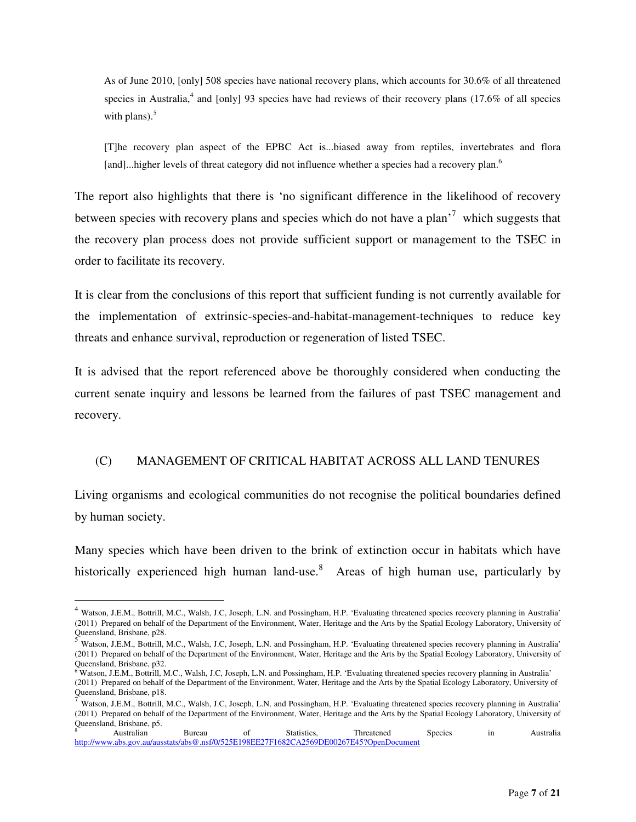As of June 2010, [only] 508 species have national recovery plans, which accounts for 30.6% of all threatened species in Australia,<sup>4</sup> and [only] 93 species have had reviews of their recovery plans (17.6% of all species with plans). $5$ 

[T]he recovery plan aspect of the EPBC Act is...biased away from reptiles, invertebrates and flora [and]...higher levels of threat category did not influence whether a species had a recovery plan.<sup>6</sup>

The report also highlights that there is 'no significant difference in the likelihood of recovery between species with recovery plans and species which do not have a plan<sup>57</sup> which suggests that the recovery plan process does not provide sufficient support or management to the TSEC in order to facilitate its recovery.

It is clear from the conclusions of this report that sufficient funding is not currently available for the implementation of extrinsic-species-and-habitat-management-techniques to reduce key threats and enhance survival, reproduction or regeneration of listed TSEC.

It is advised that the report referenced above be thoroughly considered when conducting the current senate inquiry and lessons be learned from the failures of past TSEC management and recovery.

# (C) MANAGEMENT OF CRITICAL HABITAT ACROSS ALL LAND TENURES

Living organisms and ecological communities do not recognise the political boundaries defined by human society.

Many species which have been driven to the brink of extinction occur in habitats which have historically experienced high human land-use.<sup>8</sup> Areas of high human use, particularly by

 $\overline{a}$ 

<sup>&</sup>lt;sup>4</sup> Watson, J.E.M., Bottrill, M.C., Walsh, J.C, Joseph, L.N. and Possingham, H.P. 'Evaluating threatened species recovery planning in Australia' (2011) Prepared on behalf of the Department of the Environment, Water, Heritage and the Arts by the Spatial Ecology Laboratory, University of Queensland, Brisbane, p28.<br> $5 \text{ W}$ .

<sup>5</sup> Watson, J.E.M., Bottrill, M.C., Walsh, J.C, Joseph, L.N. and Possingham, H.P. 'Evaluating threatened species recovery planning in Australia' (2011) Prepared on behalf of the Department of the Environment, Water, Heritage and the Arts by the Spatial Ecology Laboratory, University of Queensland, Brisbane, p32.

<sup>&</sup>lt;sup>6</sup> Watson, J.E.M., Bottrill, M.C., Walsh, J.C, Joseph, L.N. and Possingham, H.P. 'Evaluating threatened species recovery planning in Australia' (2011) Prepared on behalf of the Department of the Environment, Water, Heritage and the Arts by the Spatial Ecology Laboratory, University of Queensland, Brisbane, p18.

<sup>7</sup> Watson, J.E.M., Bottrill, M.C., Walsh, J.C, Joseph, L.N. and Possingham, H.P. 'Evaluating threatened species recovery planning in Australia' (2011) Prepared on behalf of the Department of the Environment, Water, Heritage and the Arts by the Spatial Ecology Laboratory, University of Queensland, Brisbane, p5.

<sup>8</sup> Australian Bureau of Statistics, Threatened Species in Australia http://www.abs.gov.au/ausstats/abs@.nsf/0/525E198EE27F1682CA2569DE00267E45?OpenDocument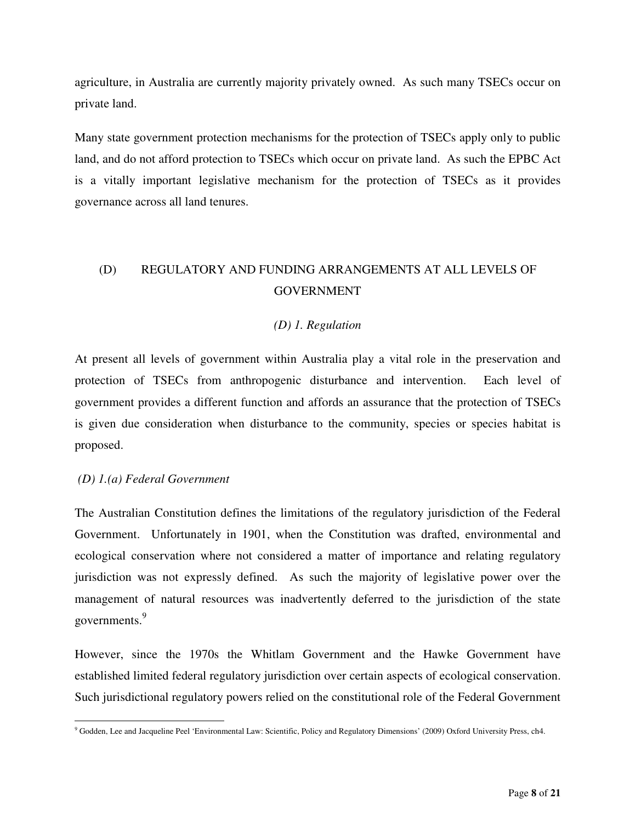agriculture, in Australia are currently majority privately owned. As such many TSECs occur on private land.

Many state government protection mechanisms for the protection of TSECs apply only to public land, and do not afford protection to TSECs which occur on private land. As such the EPBC Act is a vitally important legislative mechanism for the protection of TSECs as it provides governance across all land tenures.

# (D) REGULATORY AND FUNDING ARRANGEMENTS AT ALL LEVELS OF GOVERNMENT

# *(D) 1. Regulation*

At present all levels of government within Australia play a vital role in the preservation and protection of TSECs from anthropogenic disturbance and intervention. Each level of government provides a different function and affords an assurance that the protection of TSECs is given due consideration when disturbance to the community, species or species habitat is proposed.

# *(D) 1.(a) Federal Government*

The Australian Constitution defines the limitations of the regulatory jurisdiction of the Federal Government. Unfortunately in 1901, when the Constitution was drafted, environmental and ecological conservation where not considered a matter of importance and relating regulatory jurisdiction was not expressly defined. As such the majority of legislative power over the management of natural resources was inadvertently deferred to the jurisdiction of the state governments.<sup>9</sup>

However, since the 1970s the Whitlam Government and the Hawke Government have established limited federal regulatory jurisdiction over certain aspects of ecological conservation. Such jurisdictional regulatory powers relied on the constitutional role of the Federal Government

 $\overline{a}$ <sup>9</sup> Godden, Lee and Jacqueline Peel 'Environmental Law: Scientific, Policy and Regulatory Dimensions' (2009) Oxford University Press, ch4.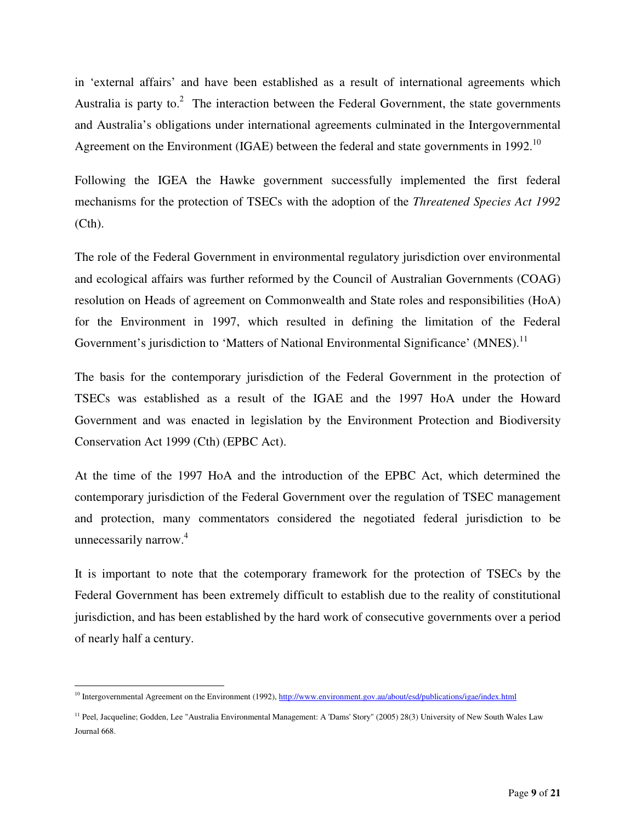in 'external affairs' and have been established as a result of international agreements which Australia is party to. $2$  The interaction between the Federal Government, the state governments and Australia's obligations under international agreements culminated in the Intergovernmental Agreement on the Environment (IGAE) between the federal and state governments in 1992.<sup>10</sup>

Following the IGEA the Hawke government successfully implemented the first federal mechanisms for the protection of TSECs with the adoption of the *Threatened Species Act 1992*  (Cth).

The role of the Federal Government in environmental regulatory jurisdiction over environmental and ecological affairs was further reformed by the Council of Australian Governments (COAG) resolution on Heads of agreement on Commonwealth and State roles and responsibilities (HoA) for the Environment in 1997, which resulted in defining the limitation of the Federal Government's jurisdiction to 'Matters of National Environmental Significance' (MNES).<sup>11</sup>

The basis for the contemporary jurisdiction of the Federal Government in the protection of TSECs was established as a result of the IGAE and the 1997 HoA under the Howard Government and was enacted in legislation by the Environment Protection and Biodiversity Conservation Act 1999 (Cth) (EPBC Act).

At the time of the 1997 HoA and the introduction of the EPBC Act, which determined the contemporary jurisdiction of the Federal Government over the regulation of TSEC management and protection, many commentators considered the negotiated federal jurisdiction to be unnecessarily narrow.<sup>4</sup>

It is important to note that the cotemporary framework for the protection of TSECs by the Federal Government has been extremely difficult to establish due to the reality of constitutional jurisdiction, and has been established by the hard work of consecutive governments over a period of nearly half a century.

 $\overline{a}$ <sup>10</sup> Intergovernmental Agreement on the Environment (1992), http://www.environment.gov.au/about/esd/publications/igae/index.html

<sup>&</sup>lt;sup>11</sup> Peel, Jacqueline; Godden, Lee "Australia Environmental Management: A 'Dams' Story" (2005) 28(3) University of New South Wales Law Journal 668.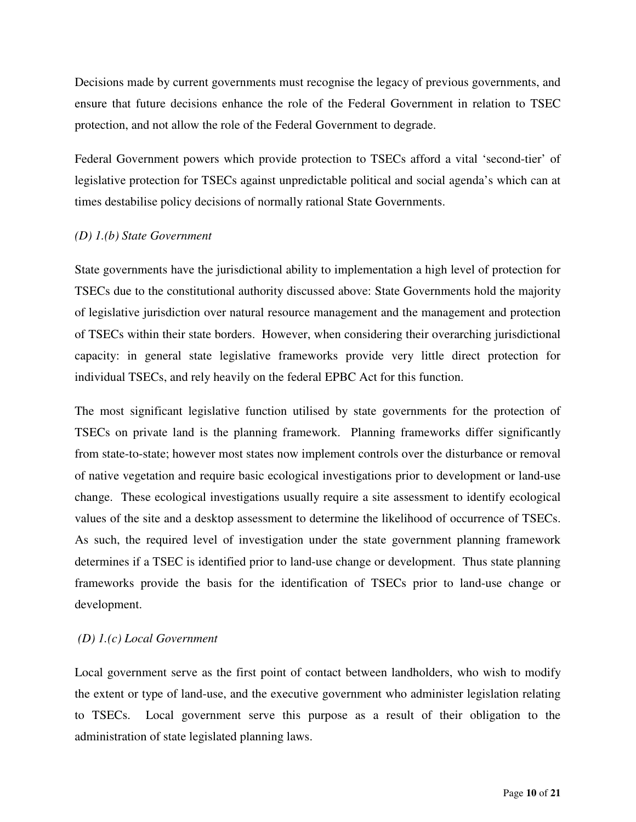Decisions made by current governments must recognise the legacy of previous governments, and ensure that future decisions enhance the role of the Federal Government in relation to TSEC protection, and not allow the role of the Federal Government to degrade.

Federal Government powers which provide protection to TSECs afford a vital 'second-tier' of legislative protection for TSECs against unpredictable political and social agenda's which can at times destabilise policy decisions of normally rational State Governments.

# *(D) 1.(b) State Government*

State governments have the jurisdictional ability to implementation a high level of protection for TSECs due to the constitutional authority discussed above: State Governments hold the majority of legislative jurisdiction over natural resource management and the management and protection of TSECs within their state borders. However, when considering their overarching jurisdictional capacity: in general state legislative frameworks provide very little direct protection for individual TSECs, and rely heavily on the federal EPBC Act for this function.

The most significant legislative function utilised by state governments for the protection of TSECs on private land is the planning framework. Planning frameworks differ significantly from state-to-state; however most states now implement controls over the disturbance or removal of native vegetation and require basic ecological investigations prior to development or land-use change. These ecological investigations usually require a site assessment to identify ecological values of the site and a desktop assessment to determine the likelihood of occurrence of TSECs. As such, the required level of investigation under the state government planning framework determines if a TSEC is identified prior to land-use change or development. Thus state planning frameworks provide the basis for the identification of TSECs prior to land-use change or development.

# *(D) 1.(c) Local Government*

Local government serve as the first point of contact between landholders, who wish to modify the extent or type of land-use, and the executive government who administer legislation relating to TSECs. Local government serve this purpose as a result of their obligation to the administration of state legislated planning laws.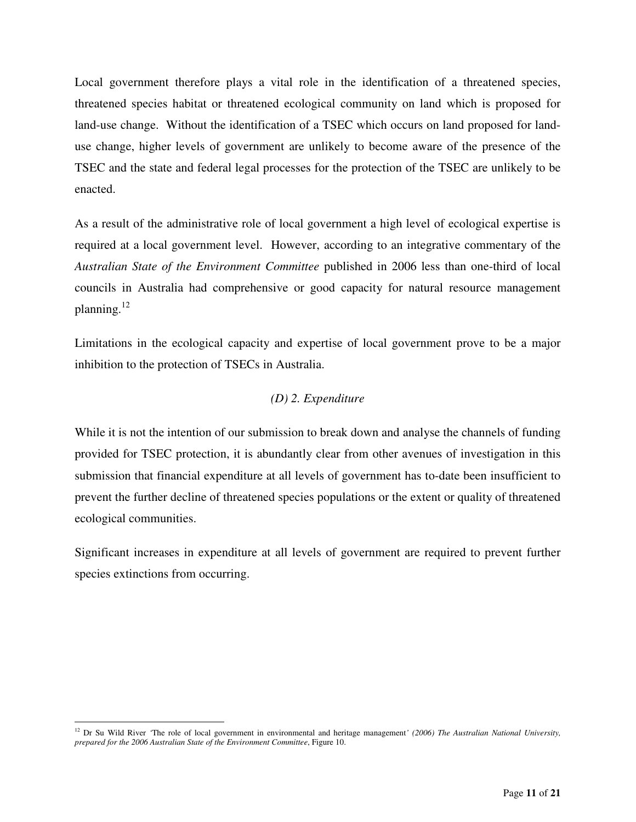Local government therefore plays a vital role in the identification of a threatened species, threatened species habitat or threatened ecological community on land which is proposed for land-use change. Without the identification of a TSEC which occurs on land proposed for landuse change, higher levels of government are unlikely to become aware of the presence of the TSEC and the state and federal legal processes for the protection of the TSEC are unlikely to be enacted.

As a result of the administrative role of local government a high level of ecological expertise is required at a local government level. However, according to an integrative commentary of the *Australian State of the Environment Committee* published in 2006 less than one-third of local councils in Australia had comprehensive or good capacity for natural resource management planning. $^{12}$ 

Limitations in the ecological capacity and expertise of local government prove to be a major inhibition to the protection of TSECs in Australia.

# *(D) 2. Expenditure*

While it is not the intention of our submission to break down and analyse the channels of funding provided for TSEC protection, it is abundantly clear from other avenues of investigation in this submission that financial expenditure at all levels of government has to-date been insufficient to prevent the further decline of threatened species populations or the extent or quality of threatened ecological communities.

Significant increases in expenditure at all levels of government are required to prevent further species extinctions from occurring.

 $\overline{a}$ <sup>12</sup> Dr Su Wild River *'*The role of local government in environmental and heritage management*' (2006) The Australian National University, prepared for the 2006 Australian State of the Environment Committee*, Figure 10.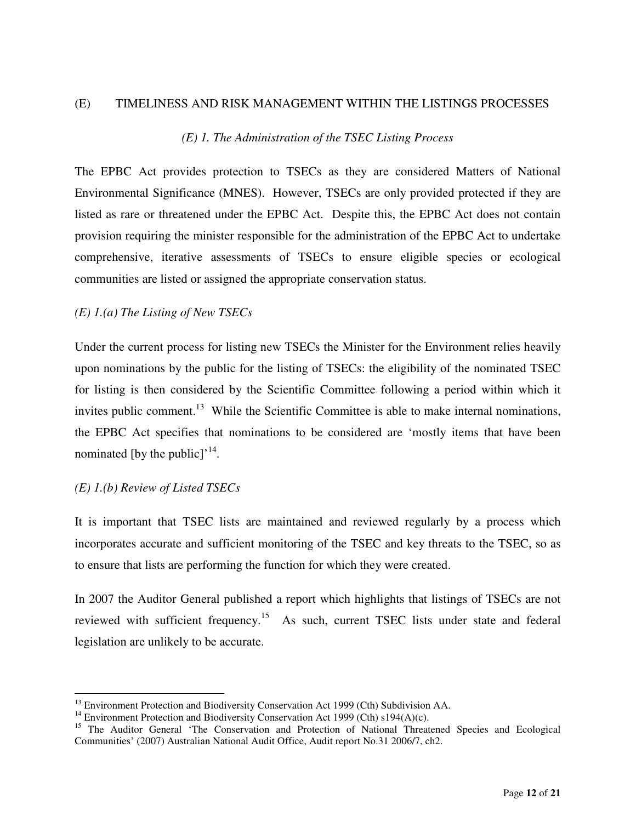#### (E) TIMELINESS AND RISK MANAGEMENT WITHIN THE LISTINGS PROCESSES

### *(E) 1. The Administration of the TSEC Listing Process*

The EPBC Act provides protection to TSECs as they are considered Matters of National Environmental Significance (MNES). However, TSECs are only provided protected if they are listed as rare or threatened under the EPBC Act. Despite this, the EPBC Act does not contain provision requiring the minister responsible for the administration of the EPBC Act to undertake comprehensive, iterative assessments of TSECs to ensure eligible species or ecological communities are listed or assigned the appropriate conservation status.

#### *(E) 1.(a) The Listing of New TSECs*

Under the current process for listing new TSECs the Minister for the Environment relies heavily upon nominations by the public for the listing of TSECs: the eligibility of the nominated TSEC for listing is then considered by the Scientific Committee following a period within which it invites public comment.<sup>13</sup> While the Scientific Committee is able to make internal nominations, the EPBC Act specifies that nominations to be considered are 'mostly items that have been nominated [by the public]<sup> $,$ 14</sup>.

### *(E) 1.(b) Review of Listed TSECs*

 $\overline{a}$ 

It is important that TSEC lists are maintained and reviewed regularly by a process which incorporates accurate and sufficient monitoring of the TSEC and key threats to the TSEC, so as to ensure that lists are performing the function for which they were created.

In 2007 the Auditor General published a report which highlights that listings of TSECs are not reviewed with sufficient frequency.<sup>15</sup> As such, current TSEC lists under state and federal legislation are unlikely to be accurate.

<sup>&</sup>lt;sup>13</sup> Environment Protection and Biodiversity Conservation Act 1999 (Cth) Subdivision AA.

<sup>&</sup>lt;sup>14</sup> Environment Protection and Biodiversity Conservation Act 1999 (Cth)  $s194(A)(c)$ .

<sup>&</sup>lt;sup>15</sup> The Auditor General 'The Conservation and Protection of National Threatened Species and Ecological Communities' (2007) Australian National Audit Office, Audit report No.31 2006/7, ch2.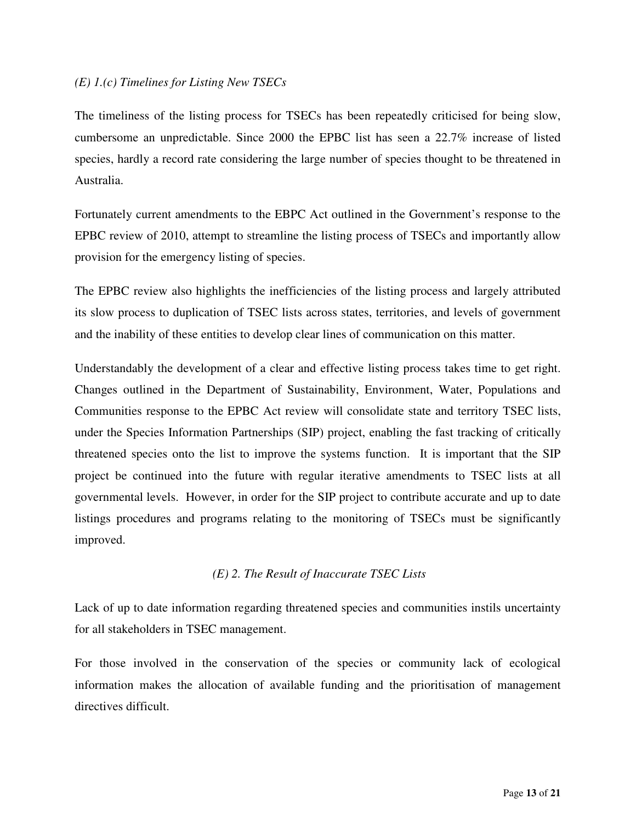# *(E) 1.(c) Timelines for Listing New TSECs*

The timeliness of the listing process for TSECs has been repeatedly criticised for being slow, cumbersome an unpredictable. Since 2000 the EPBC list has seen a 22.7% increase of listed species, hardly a record rate considering the large number of species thought to be threatened in Australia.

Fortunately current amendments to the EBPC Act outlined in the Government's response to the EPBC review of 2010, attempt to streamline the listing process of TSECs and importantly allow provision for the emergency listing of species.

The EPBC review also highlights the inefficiencies of the listing process and largely attributed its slow process to duplication of TSEC lists across states, territories, and levels of government and the inability of these entities to develop clear lines of communication on this matter.

Understandably the development of a clear and effective listing process takes time to get right. Changes outlined in the Department of Sustainability, Environment, Water, Populations and Communities response to the EPBC Act review will consolidate state and territory TSEC lists, under the Species Information Partnerships (SIP) project, enabling the fast tracking of critically threatened species onto the list to improve the systems function. It is important that the SIP project be continued into the future with regular iterative amendments to TSEC lists at all governmental levels. However, in order for the SIP project to contribute accurate and up to date listings procedures and programs relating to the monitoring of TSECs must be significantly improved.

# *(E) 2. The Result of Inaccurate TSEC Lists*

Lack of up to date information regarding threatened species and communities instils uncertainty for all stakeholders in TSEC management.

For those involved in the conservation of the species or community lack of ecological information makes the allocation of available funding and the prioritisation of management directives difficult.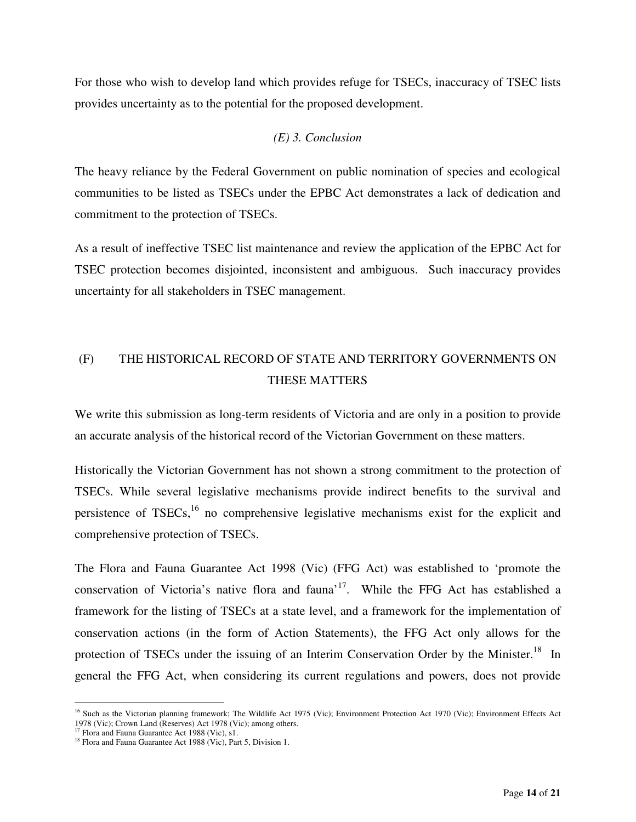For those who wish to develop land which provides refuge for TSECs, inaccuracy of TSEC lists provides uncertainty as to the potential for the proposed development.

# *(E) 3. Conclusion*

The heavy reliance by the Federal Government on public nomination of species and ecological communities to be listed as TSECs under the EPBC Act demonstrates a lack of dedication and commitment to the protection of TSECs.

As a result of ineffective TSEC list maintenance and review the application of the EPBC Act for TSEC protection becomes disjointed, inconsistent and ambiguous. Such inaccuracy provides uncertainty for all stakeholders in TSEC management.

# (F) THE HISTORICAL RECORD OF STATE AND TERRITORY GOVERNMENTS ON THESE MATTERS

We write this submission as long-term residents of Victoria and are only in a position to provide an accurate analysis of the historical record of the Victorian Government on these matters.

Historically the Victorian Government has not shown a strong commitment to the protection of TSECs. While several legislative mechanisms provide indirect benefits to the survival and persistence of  $TSECs$ ,<sup>16</sup> no comprehensive legislative mechanisms exist for the explicit and comprehensive protection of TSECs.

The Flora and Fauna Guarantee Act 1998 (Vic) (FFG Act) was established to 'promote the conservation of Victoria's native flora and fauna'<sup>17</sup>. While the FFG Act has established a framework for the listing of TSECs at a state level, and a framework for the implementation of conservation actions (in the form of Action Statements), the FFG Act only allows for the protection of TSECs under the issuing of an Interim Conservation Order by the Minister.<sup>18</sup> In general the FFG Act, when considering its current regulations and powers, does not provide

 $\overline{a}$ <sup>16</sup> Such as the Victorian planning framework; The Wildlife Act 1975 (Vic); Environment Protection Act 1970 (Vic); Environment Effects Act 1978 (Vic); Crown Land (Reserves) Act 1978 (Vic); among others.

<sup>&</sup>lt;sup>17</sup> Flora and Fauna Guarantee Act 1988 (Vic), s1.

<sup>&</sup>lt;sup>18</sup> Flora and Fauna Guarantee Act 1988 (Vic), Part 5, Division 1.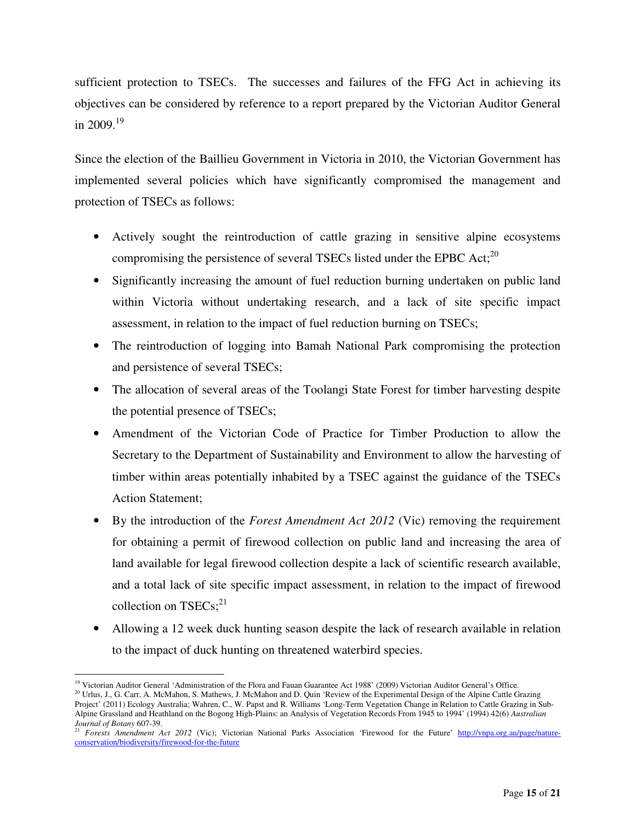sufficient protection to TSECs. The successes and failures of the FFG Act in achieving its objectives can be considered by reference to a report prepared by the Victorian Auditor General in 2009.<sup>19</sup>

Since the election of the Baillieu Government in Victoria in 2010, the Victorian Government has implemented several policies which have significantly compromised the management and protection of TSECs as follows:

- Actively sought the reintroduction of cattle grazing in sensitive alpine ecosystems compromising the persistence of several TSECs listed under the EPBC Act;<sup>20</sup>
- Significantly increasing the amount of fuel reduction burning undertaken on public land within Victoria without undertaking research, and a lack of site specific impact assessment, in relation to the impact of fuel reduction burning on TSECs;
- The reintroduction of logging into Bamah National Park compromising the protection and persistence of several TSECs;
- The allocation of several areas of the Toolangi State Forest for timber harvesting despite the potential presence of TSECs;
- Amendment of the Victorian Code of Practice for Timber Production to allow the Secretary to the Department of Sustainability and Environment to allow the harvesting of timber within areas potentially inhabited by a TSEC against the guidance of the TSECs Action Statement;
- By the introduction of the *Forest Amendment Act 2012* (Vic) removing the requirement for obtaining a permit of firewood collection on public land and increasing the area of land available for legal firewood collection despite a lack of scientific research available, and a total lack of site specific impact assessment, in relation to the impact of firewood collection on  $TSECs$ <sup>21</sup>
- Allowing a 12 week duck hunting season despite the lack of research available in relation to the impact of duck hunting on threatened waterbird species.

<sup>20</sup> Urlus, J., G. Carr, A. McMahon, S. Mathews, J. McMahon and D. Quin 'Review of the Experimental Design of the Alpine Cattle Grazing Project' (2011) Ecology Australia; Wahren, C., W. Papst and R. Williams 'Long-Term Vegetation Change in Relation to Cattle Grazing in Sub-Alpine Grassland and Heathland on the Bogong High-Plains: an Analysis of Vegetation Records From 1945 to 1994' (1994) 42(6) *Australian Journal of Botany* 607-39.

 $\overline{a}$ <sup>19</sup> Victorian Auditor General 'Administration of the Flora and Fauan Guarantee Act 1988' (2009) Victorian Auditor General's Office.

<sup>&</sup>lt;sup>21</sup> *Forests Amendment Act 2012* (Vic); Victorian National Parks Association 'Firewood for the Future' http://vnpa.org.au/page/natureconservation/biodiversity/firewood-for-the-future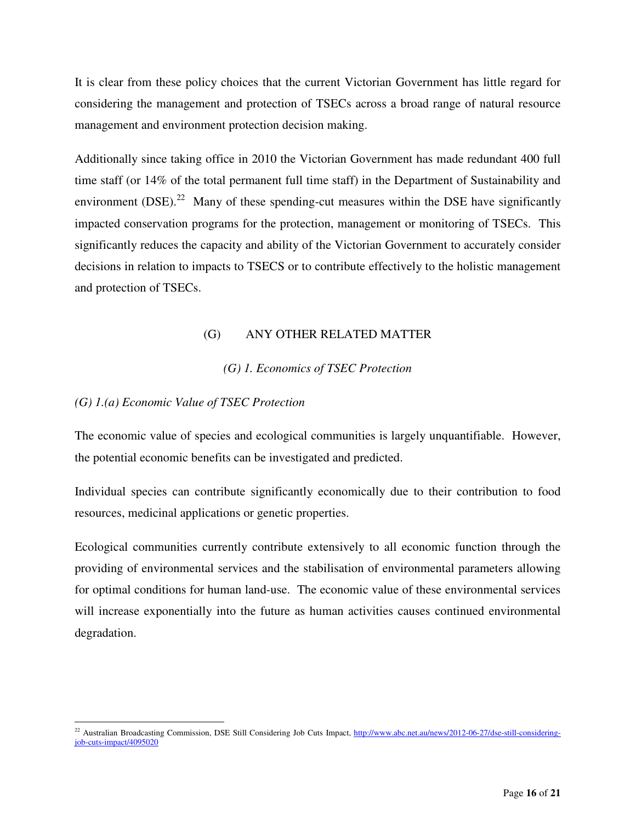It is clear from these policy choices that the current Victorian Government has little regard for considering the management and protection of TSECs across a broad range of natural resource management and environment protection decision making.

Additionally since taking office in 2010 the Victorian Government has made redundant 400 full time staff (or 14% of the total permanent full time staff) in the Department of Sustainability and environment  $(DSE)$ <sup>22</sup> Many of these spending-cut measures within the DSE have significantly impacted conservation programs for the protection, management or monitoring of TSECs. This significantly reduces the capacity and ability of the Victorian Government to accurately consider decisions in relation to impacts to TSECS or to contribute effectively to the holistic management and protection of TSECs.

# (G) ANY OTHER RELATED MATTER

# *(G) 1. Economics of TSEC Protection*

#### *(G) 1.(a) Economic Value of TSEC Protection*

The economic value of species and ecological communities is largely unquantifiable. However, the potential economic benefits can be investigated and predicted.

Individual species can contribute significantly economically due to their contribution to food resources, medicinal applications or genetic properties.

Ecological communities currently contribute extensively to all economic function through the providing of environmental services and the stabilisation of environmental parameters allowing for optimal conditions for human land-use. The economic value of these environmental services will increase exponentially into the future as human activities causes continued environmental degradation.

 $\overline{a}$ <sup>22</sup> Australian Broadcasting Commission, DSE Still Considering Job Cuts Impact, http://www.abc.net.au/news/2012-06-27/dse-still-consideringjob-cuts-impact/4095020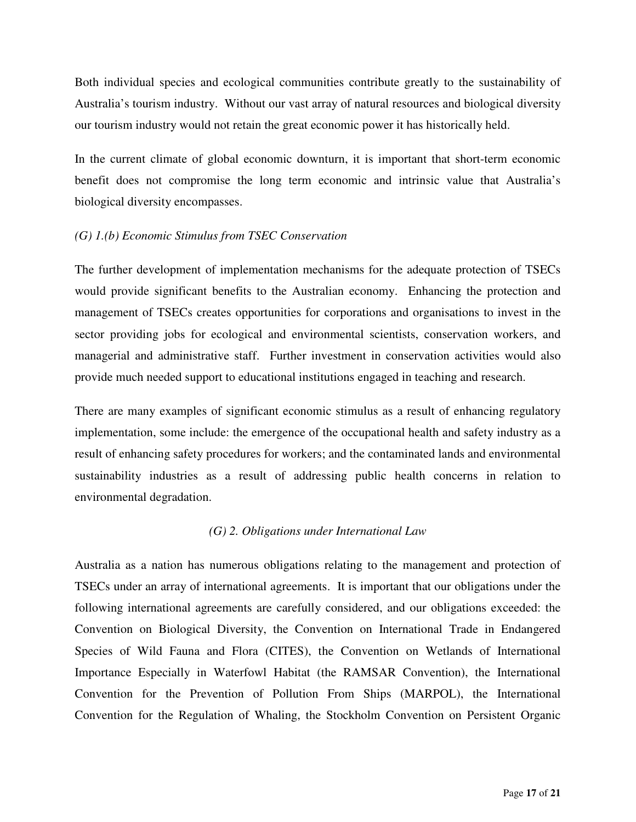Both individual species and ecological communities contribute greatly to the sustainability of Australia's tourism industry. Without our vast array of natural resources and biological diversity our tourism industry would not retain the great economic power it has historically held.

In the current climate of global economic downturn, it is important that short-term economic benefit does not compromise the long term economic and intrinsic value that Australia's biological diversity encompasses.

#### *(G) 1.(b) Economic Stimulus from TSEC Conservation*

The further development of implementation mechanisms for the adequate protection of TSECs would provide significant benefits to the Australian economy. Enhancing the protection and management of TSECs creates opportunities for corporations and organisations to invest in the sector providing jobs for ecological and environmental scientists, conservation workers, and managerial and administrative staff. Further investment in conservation activities would also provide much needed support to educational institutions engaged in teaching and research.

There are many examples of significant economic stimulus as a result of enhancing regulatory implementation, some include: the emergence of the occupational health and safety industry as a result of enhancing safety procedures for workers; and the contaminated lands and environmental sustainability industries as a result of addressing public health concerns in relation to environmental degradation.

# *(G) 2. Obligations under International Law*

Australia as a nation has numerous obligations relating to the management and protection of TSECs under an array of international agreements. It is important that our obligations under the following international agreements are carefully considered, and our obligations exceeded: the Convention on Biological Diversity, the Convention on International Trade in Endangered Species of Wild Fauna and Flora (CITES), the Convention on Wetlands of International Importance Especially in Waterfowl Habitat (the RAMSAR Convention), the International Convention for the Prevention of Pollution From Ships (MARPOL), the International Convention for the Regulation of Whaling, the Stockholm Convention on Persistent Organic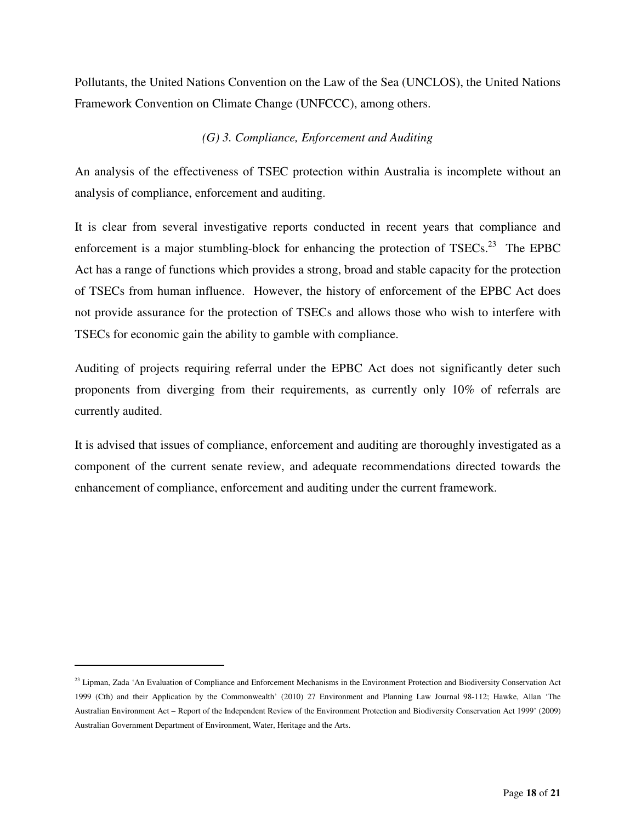Pollutants, the United Nations Convention on the Law of the Sea (UNCLOS), the United Nations Framework Convention on Climate Change (UNFCCC), among others.

# *(G) 3. Compliance, Enforcement and Auditing*

An analysis of the effectiveness of TSEC protection within Australia is incomplete without an analysis of compliance, enforcement and auditing.

It is clear from several investigative reports conducted in recent years that compliance and enforcement is a major stumbling-block for enhancing the protection of  $TSECs$ <sup>23</sup>. The EPBC Act has a range of functions which provides a strong, broad and stable capacity for the protection of TSECs from human influence. However, the history of enforcement of the EPBC Act does not provide assurance for the protection of TSECs and allows those who wish to interfere with TSECs for economic gain the ability to gamble with compliance.

Auditing of projects requiring referral under the EPBC Act does not significantly deter such proponents from diverging from their requirements, as currently only 10% of referrals are currently audited.

It is advised that issues of compliance, enforcement and auditing are thoroughly investigated as a component of the current senate review, and adequate recommendations directed towards the enhancement of compliance, enforcement and auditing under the current framework.

 $\overline{a}$ 

<sup>&</sup>lt;sup>23</sup> Lipman, Zada 'An Evaluation of Compliance and Enforcement Mechanisms in the Environment Protection and Biodiversity Conservation Act 1999 (Cth) and their Application by the Commonwealth' (2010) 27 Environment and Planning Law Journal 98-112; Hawke, Allan 'The Australian Environment Act – Report of the Independent Review of the Environment Protection and Biodiversity Conservation Act 1999' (2009) Australian Government Department of Environment, Water, Heritage and the Arts.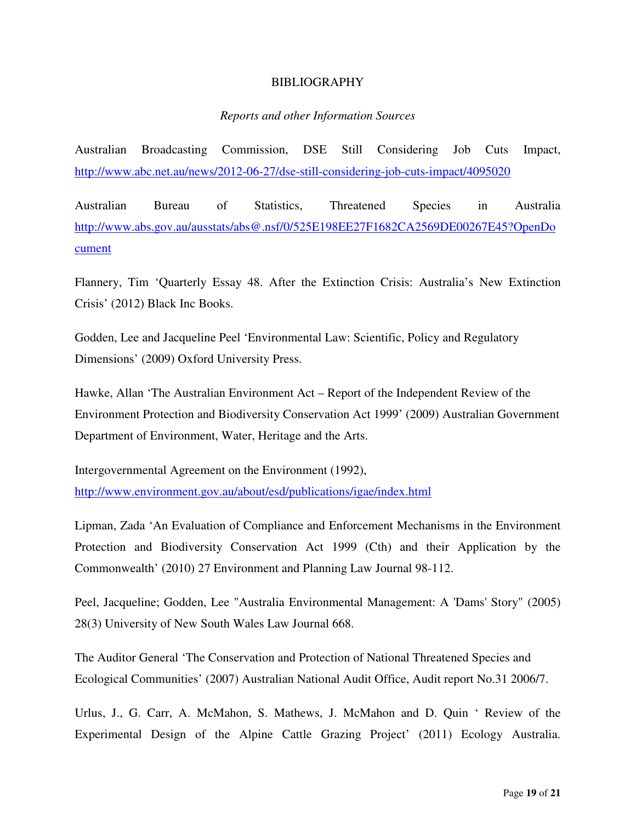#### BIBLIOGRAPHY

#### *Reports and other Information Sources*

Australian Broadcasting Commission, DSE Still Considering Job Cuts Impact, http://www.abc.net.au/news/2012-06-27/dse-still-considering-job-cuts-impact/4095020

Australian Bureau of Statistics, Threatened Species in Australia http://www.abs.gov.au/ausstats/abs@.nsf/0/525E198EE27F1682CA2569DE00267E45?OpenDo cument

Flannery, Tim 'Quarterly Essay 48. After the Extinction Crisis: Australia's New Extinction Crisis' (2012) Black Inc Books.

Godden, Lee and Jacqueline Peel 'Environmental Law: Scientific, Policy and Regulatory Dimensions' (2009) Oxford University Press.

Hawke, Allan 'The Australian Environment Act – Report of the Independent Review of the Environment Protection and Biodiversity Conservation Act 1999' (2009) Australian Government Department of Environment, Water, Heritage and the Arts.

Intergovernmental Agreement on the Environment (1992), http://www.environment.gov.au/about/esd/publications/igae/index.html

Lipman, Zada 'An Evaluation of Compliance and Enforcement Mechanisms in the Environment Protection and Biodiversity Conservation Act 1999 (Cth) and their Application by the Commonwealth' (2010) 27 Environment and Planning Law Journal 98-112.

Peel, Jacqueline; Godden, Lee "Australia Environmental Management: A 'Dams' Story" (2005) 28(3) University of New South Wales Law Journal 668.

The Auditor General 'The Conservation and Protection of National Threatened Species and Ecological Communities' (2007) Australian National Audit Office, Audit report No.31 2006/7.

Urlus, J., G. Carr, A. McMahon, S. Mathews, J. McMahon and D. Quin ' Review of the Experimental Design of the Alpine Cattle Grazing Project' (2011) Ecology Australia.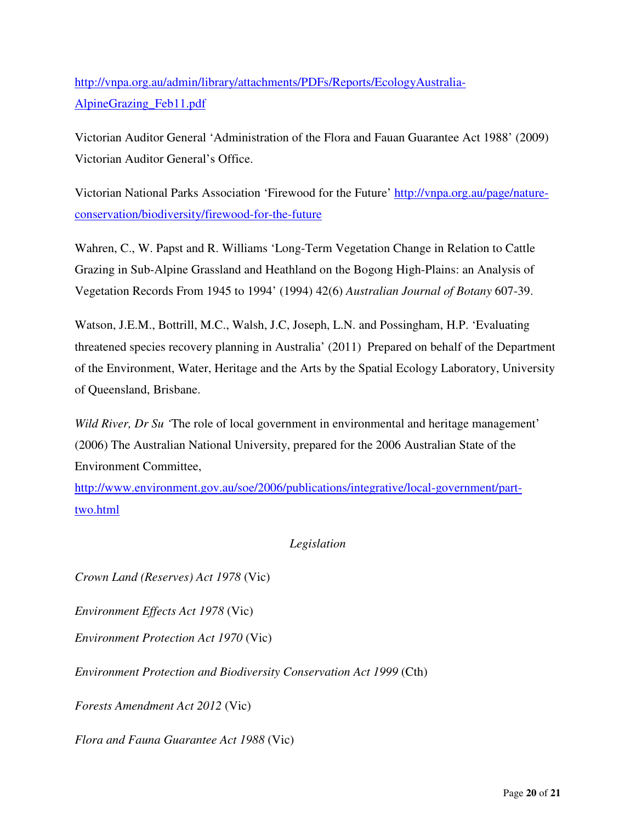http://vnpa.org.au/admin/library/attachments/PDFs/Reports/EcologyAustralia-AlpineGrazing\_Feb11.pdf

Victorian Auditor General 'Administration of the Flora and Fauan Guarantee Act 1988' (2009) Victorian Auditor General's Office.

Victorian National Parks Association 'Firewood for the Future' http://vnpa.org.au/page/natureconservation/biodiversity/firewood-for-the-future

Wahren, C., W. Papst and R. Williams 'Long-Term Vegetation Change in Relation to Cattle Grazing in Sub-Alpine Grassland and Heathland on the Bogong High-Plains: an Analysis of Vegetation Records From 1945 to 1994' (1994) 42(6) *Australian Journal of Botany* 607-39.

Watson, J.E.M., Bottrill, M.C., Walsh, J.C, Joseph, L.N. and Possingham, H.P. 'Evaluating threatened species recovery planning in Australia' (2011) Prepared on behalf of the Department of the Environment, Water, Heritage and the Arts by the Spatial Ecology Laboratory, University of Queensland, Brisbane.

*Wild River, Dr Su* 'The role of local government in environmental and heritage management' (2006) The Australian National University, prepared for the 2006 Australian State of the Environment Committee,

http://www.environment.gov.au/soe/2006/publications/integrative/local-government/parttwo.html

# *Legislation*

*Crown Land (Reserves) Act 1978* (Vic)

*Environment Effects Act 1978* (Vic)

*Environment Protection Act 1970* (Vic)

*Environment Protection and Biodiversity Conservation Act 1999* (Cth)

*Forests Amendment Act 2012* (Vic)

*Flora and Fauna Guarantee Act 1988* (Vic)